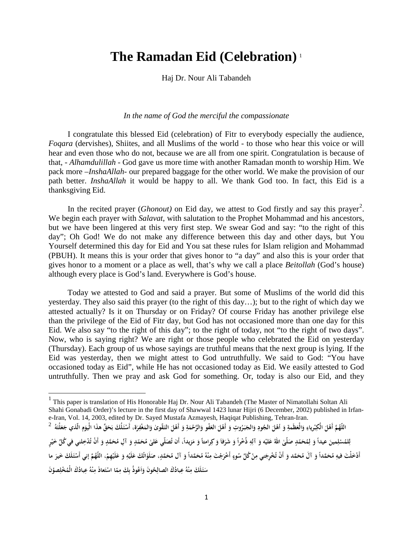## **The Ramadan Eid (Celebration)** [1](#page-0-0)

Haj Dr. Nour Ali Tabandeh

## *In the name of God the merciful the compassionate*

I congratulate this blessed Eid (celebration) of Fitr to everybody especially the audience, *Foqara* (dervishes), Shiites, and all Muslims of the world - to those who hear this voice or will hear and even those who do not, because we are all from one spirit. Congratulation is because of that, - *Alhamdulillah* - God gave us more time with another Ramadan month to worship Him. We pack more –*InshaAllah-* our prepared baggage for the other world. We make the provision of our path better. *InshaAllah* it would be happy to all. We thank God too. In fact, this Eid is a thanksgiving Eid.

In the recited prayer (*Ghonout*) on Eid day, we attest to God firstly and say this prayer<sup>[2](#page-0-1)</sup>. We begin each prayer with *Salavat*, with salutation to the Prophet Mohammad and his ancestors, but we have been lingered at this very first step. We swear God and say: "to the right of this day"; Oh God! We do not make any difference between this day and other days, but You Yourself determined this day for Eid and You sat these rules for Islam religion and Mohammad (PBUH). It means this is your order that gives honor to "a day" and also this is your order that gives honor to a moment or a place as well, that's why we call a place *Beitollah* (God's house) although every place is God's land. Everywhere is God's house.

Today we attested to God and said a prayer. But some of Muslims of the world did this yesterday. They also said this prayer (to the right of this day…); but to the right of which day we attested actually? Is it on Thursday or on Friday? Of course Friday has another privilege else than the privilege of the Eid of Fitr day, but God has not occasioned more than one day for this Eid. We also say "to the right of this day"; to the right of today, not "to the right of two days". Now, who is saying right? We are right or those people who celebrated the Eid on yesterday (Thursday). Each group of us whose sayings are truthful means that the next group is lying. If the Eid was yesterday, then we might attest to God untruthfully. We said to God: "You have occasioned today as Eid", while He has not occasioned today as Eid. We easily attested to God untruthfully. Then we pray and ask God for something. Or, today is also our Eid, and they

l

<span id="page-0-0"></span><sup>&</sup>lt;sup>1</sup> This paper is translation of His Honorable Haj Dr. Nour Ali Tabandeh (The Master of Nimatollahi Soltan Ali Shahi Gonabadi Order)'s lecture in the first day of Shawwal 1423 lunar Hijri (6 December, 2002) published in Irfane-Iran, Vol. 14, 2003, edited by Dr. Sayed Mustafa Azmayesh, Haqiqat Publishing, Tehran-Iran. اللَّهُمَّ أَهْلَ الْكِبْرياءِ وَالْعَظَمةِ وَ أَهْلَ الْجُودِ وَالجَبَرُوتِ وَ أَهْلَ العَفْو وَالرَّحْمَةِ وَ أَهْلَ التَقْوىٰ وَالمَغْفِرَة، أَسْئَلُكَ بَحَقٍّ هذَا الْيَوَمِ الّذي جَعَلْتَهُ  $^2$ **ِ**

<span id="page-0-1"></span>**<sup>َ</sup>** لِلمُسْلِمِينَ عيداً وَ لِمُحَمّدٍ صَلّىٰ اللهُ عَليْه وَ آلِهِ ذُخْراً وَ شَرَفاَ وَ كِرامتاً وَ مَزيداً، أَن تُصَلّي عَلىٰ مُحَمّدٍ وَ آلِ مُحَمَّدٍ وَ أَنْ تُدْخِلني في كُلّ خَيْرٍ **ِ ْ ِ**أَدْخَلْتَ فيهِ مُحَمَّداً وَ آلَ مُحَمَّد وَ أَنْ تُخْرِجَني مِنْ كُلِّ سُوءٍ أَخْرَجْتَ مِنْهُ مُحَمَّداً وَ آل مُحَمَّدٍ، صَلَوٰاتُكَ عَلَيُهِ وَ عَلَيْهِمْ، اللّهُمَّ إني أَسْئَلَكَ خَيرَ ما **ِ ٍْ** سَتَلَكَ مِنْهُ عِبادُكَ الصالِحُونَ وَآعُوذُ بِكَ مِمّا اسْتَعاذَ مِنْهُ عِبادُكَ الْمُخْلِصوُنَ **ِ ِا َ ِ**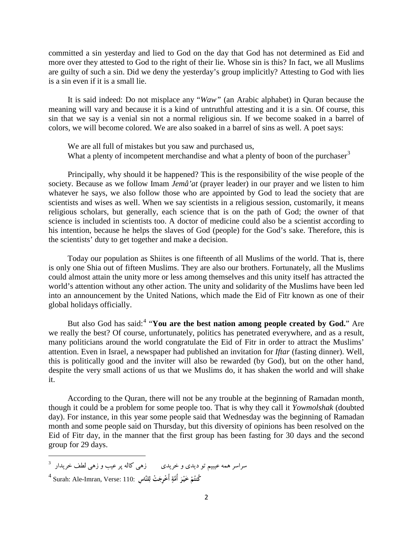committed a sin yesterday and lied to God on the day that God has not determined as Eid and more over they attested to God to the right of their lie. Whose sin is this? In fact, we all Muslims are guilty of such a sin. Did we deny the yesterday's group implicitly? Attesting to God with lies is a sin even if it is a small lie.

It is said indeed: Do not misplace any "*Waw"* (an Arabic alphabet) in Quran because the meaning will vary and because it is a kind of untruthful attesting and it is a sin. Of course, this sin that we say is a venial sin not a normal religious sin. If we become soaked in a barrel of colors, we will become colored. We are also soaked in a barrel of sins as well. A poet says:

We are all full of mistakes but you saw and purchased us, What a plenty of incompetent merchandise and what a plenty of boon of the purchaser<sup>3</sup>

Principally, why should it be happened? This is the responsibility of the wise people of the society. Because as we follow Imam *Jemâ'at* (prayer leader) in our prayer and we listen to him whatever he says, we also follow those who are appointed by God to lead the society that are scientists and wises as well. When we say scientists in a religious session, customarily, it means religious scholars, but generally, each science that is on the path of God; the owner of that science is included in scientists too. A doctor of medicine could also be a scientist according to his intention, because he helps the slaves of God (people) for the God's sake. Therefore, this is the scientists' duty to get together and make a decision.

Today our population as Shiites is one fifteenth of all Muslims of the world. That is, there is only one Shia out of fifteen Muslims. They are also our brothers. Fortunately, all the Muslims could almost attain the unity more or less among themselves and this unity itself has attracted the world's attention without any other action. The unity and solidarity of the Muslims have been led into an announcement by the United Nations, which made the Eid of Fitr known as one of their global holidays officially.

But also God has said:<sup>[4](#page-1-0)</sup> "You are the best nation among people created by God." Are we really the best? Of course, unfortunately, politics has penetrated everywhere, and as a result, many politicians around the world congratulate the Eid of Fitr in order to attract the Muslims' attention. Even in Israel, a newspaper had published an invitation for *Iftar* (fasting dinner). Well, this is politically good and the inviter will also be rewarded (by God), but on the other hand, despite the very small actions of us that we Muslims do, it has shaken the world and will shake it.

According to the Quran, there will not be any trouble at the beginning of Ramadan month, though it could be a problem for some people too. That is why they call it *Yowmolshak* (doubted day). For instance, in this year some people said that Wednesday was the beginning of Ramadan month and some people said on Thursday, but this diversity of opinions has been resolved on the Eid of Fitr day, in the manner that the first group has been fasting for 30 days and the second group for 29 days.

l

<span id="page-1-0"></span>سراسر همه عیبیم تو دیدی و خریدی  $\qquad \qquad \qquad i$ هی کاله پر عیب و زهی لطف خریدار  $^3$ <sup>4</sup> Surah: Ale-Imran, Verse: 110: **لنَّاس ِ ِ َ ْت ل ْ أُخ ِرج َ َّ أُمة ْر خيـ َ ْ ُم ُكنت ٍ**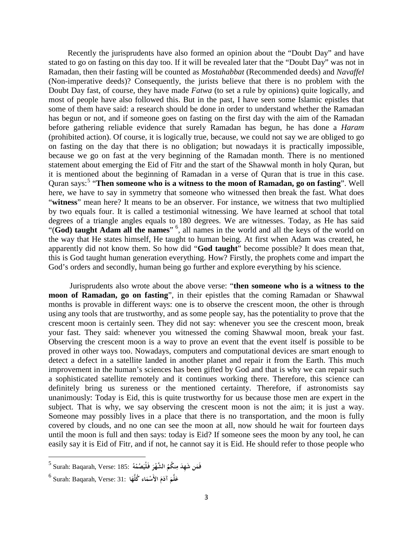Recently the jurisprudents have also formed an opinion about the "Doubt Day" and have stated to go on fasting on this day too. If it will be revealed later that the "Doubt Day" was not in Ramadan, then their fasting will be counted as *Mostahabbat* (Recommended deeds) and *Navaffel* (Non-imperative deeds)? Consequently, the jurists believe that there is no problem with the Doubt Day fast, of course, they have made *Fatwa* (to set a rule by opinions) quite logically, and most of people have also followed this. But in the past, I have seen some Islamic epistles that some of them have said: a research should be done in order to understand whether the Ramadan has begun or not, and if someone goes on fasting on the first day with the aim of the Ramadan before gathering reliable evidence that surely Ramadan has begun, he has done a *Haram* (prohibited action). Of course, it is logically true, because, we could not say we are obliged to go on fasting on the day that there is no obligation; but nowadays it is practically impossible, because we go on fast at the very beginning of the Ramadan month. There is no mentioned statement about emerging the Eid of Fitr and the start of the Shawwal month in holy Quran, but it is mentioned about the beginning of Ramadan in a verse of Quran that is true in this case. Quran says:<sup>5</sup> "Then someone who is a witness to the moon of Ramadan, go on fasting". Well here, we have to say in symmetry that someone who witnessed then break the fast. What does "**witness**" mean here? It means to be an observer. For instance, we witness that two multiplied by two equals four. It is called a testimonial witnessing. We have learned at school that total degrees of a triangle angles equals to 180 degrees. We are witnesses. Today, as He has said "(God) taught Adam all the names" <sup>6</sup>, all names in the world and all the keys of the world on the way that He states himself, He taught to human being. At first when Adam was created, he apparently did not know them. So how did "**God taught**" become possible? It does mean that, this is God taught human generation everything. How? Firstly, the prophets come and impart the God's orders and secondly, human being go further and explore everything by his science.

Jurisprudents also wrote about the above verse: "**then someone who is a witness to the moon of Ramadan, go on fasting**", in their epistles that the coming Ramadan or Shawwal months is provable in different ways: one is to observe the crescent moon, the other is through using any tools that are trustworthy, and as some people say, has the potentiality to prove that the crescent moon is certainly seen. They did not say: whenever you see the crescent moon, break your fast. They said: whenever you witnessed the coming Shawwal moon, break your fast. Observing the crescent moon is a way to prove an event that the event itself is possible to be proved in other ways too. Nowadays, computers and computational devices are smart enough to detect a defect in a satellite landed in another planet and repair it from the Earth. This much improvement in the human's sciences has been gifted by God and that is why we can repair such a sophisticated satellite remotely and it continues working there. Therefore, this science can definitely bring us sureness or the mentioned certainty. Therefore, if astronomists say unanimously: Today is Eid, this is quite trustworthy for us because those men are expert in the subject. That is why, we say observing the crescent moon is not the aim; it is just a way. Someone may possibly lives in a place that there is no transportation, and the moon is fully covered by clouds, and no one can see the moon at all, now should he wait for fourteen days until the moon is full and then says: today is Eid? If someone sees the moon by any tool, he can easily say it is Eid of Fitr, and if not, he cannot say it is Eid. He should refer to those people who

<sup>5</sup> Surah: Baqarah, Verse: 185: **ُ ْه َ ُصم َ َ فـلْي ْر ُ َّ الشه ُ نكم َ َ ن شِهَد م َم ف ِ**

<sup>6</sup> Surah: Baqarah, Verse: 31: **َ َّم َل َ ع َ آد اء َم َ الأَس ا ْم َّه ُكل**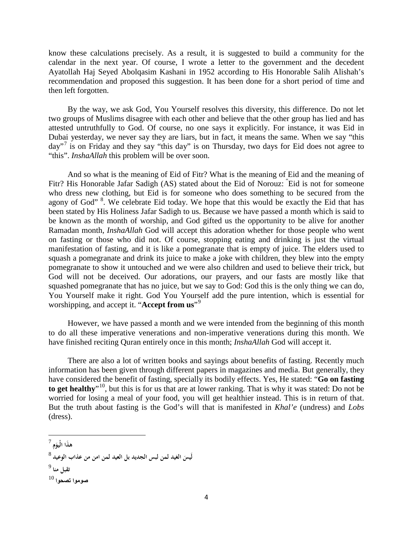know these calculations precisely. As a result, it is suggested to build a community for the calendar in the next year. Of course, I wrote a letter to the government and the decedent Ayatollah Haj Seyed Abolqasim Kashani in 1952 according to His Honorable Salih Alishah's recommendation and proposed this suggestion. It has been done for a short period of time and then left forgotten.

By the way, we ask God, You Yourself resolves this diversity, this difference. Do not let two groups of Muslims disagree with each other and believe that the other group has lied and has attested untruthfully to God. Of course, no one says it explicitly. For instance, it was Eid in Dubai yesterday, we never say they are liars, but in fact, it means the same. When we say "this day"<sup>[7](#page-3-0)</sup> is on Friday and they say "this day" is on Thursday, two days for Eid does not agree to "this". *InshaAllah* this problem will be over soon.

And so what is the meaning of Eid of Fitr? What is the meaning of Eid and the meaning of Fitr? His Honorable Jafar Sadigh (AS) stated about the Eid of Norouz: " Eid is not for someone who dress new clothing, but Eid is for someone who does something to be secured from the agony of God"<sup>[8](#page-3-1)</sup>. We celebrate Eid today. We hope that this would be exactly the Eid that has been stated by His Holiness Jafar Sadigh to us. Because we have passed a month which is said to be known as the month of worship, and God gifted us the opportunity to be alive for another Ramadan month, *InshaAllah* God will accept this adoration whether for those people who went on fasting or those who did not. Of course, stopping eating and drinking is just the virtual manifestation of fasting, and it is like a pomegranate that is empty of juice. The elders used to squash a pomegranate and drink its juice to make a joke with children, they blew into the empty pomegranate to show it untouched and we were also children and used to believe their trick, but God will not be deceived. Our adorations, our prayers, and our fasts are mostly like that squashed pomegranate that has no juice, but we say to God: God this is the only thing we can do, You Yourself make it right. God You Yourself add the pure intention, which is essential for worshipping, and accept it. "**Accept from us**"[9](#page-3-2)

However, we have passed a month and we were intended from the beginning of this month to do all these imperative venerations and non-imperative venerations during this month. We have finished reciting Quran entirely once in this month; *InshaAllah* God will accept it.

There are also a lot of written books and sayings about benefits of fasting. Recently much information has been given through different papers in magazines and media. But generally, they have considered the benefit of fasting, specially its bodily effects. Yes, He stated: "**Go on fasting** to get healthy<sup>"10</sup>, but this is for us that are at lower ranking. That is why it was stated: Do not be worried for losing a meal of your food, you will get healthier instead. This is in return of that. But the truth about fasting is the God's will that is manifested in *Khal'e* (undress) and *Lobs* (dress).

<span id="page-3-0"></span>**<sup>ِ</sup>َهذا** <sup>7</sup> **َم الْيو**

<span id="page-3-3"></span><span id="page-3-2"></span><span id="page-3-1"></span><sup>8</sup> **لَيس يد لمن لبس الجديد بل العيد لمن امن من عذاب الوعيد َ الع َ تقبل منا** <sup>9</sup> **صوموا تصحوا** <sup>10</sup>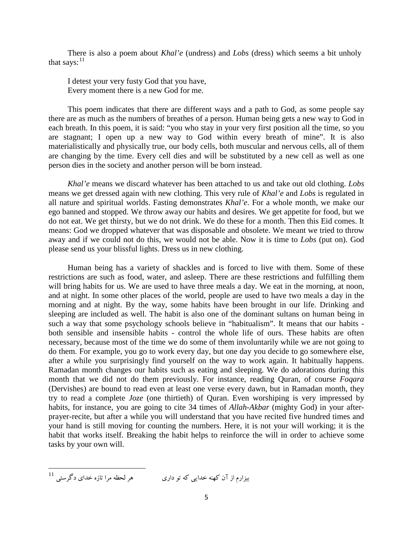There is also a poem about *Khal'e* (undress) and *Lobs* (dress) which seems a bit unholy that says:<sup>11</sup>

I detest your very fusty God that you have, Every moment there is a new God for me.

This poem indicates that there are different ways and a path to God, as some people say there are as much as the numbers of breathes of a person. Human being gets a new way to God in each breath. In this poem, it is said: "you who stay in your very first position all the time, so you are stagnant; I open up a new way to God within every breath of mine". It is also materialistically and physically true, our body cells, both muscular and nervous cells, all of them are changing by the time. Every cell dies and will be substituted by a new cell as well as one person dies in the society and another person will be born instead.

*Khal'e* means we discard whatever has been attached to us and take out old clothing. *Lobs* means we get dressed again with new clothing. This very rule of *Khal'e* and *Lobs* is regulated in all nature and spiritual worlds. Fasting demonstrates *Khal'e*. For a whole month, we make our ego banned and stopped. We throw away our habits and desires. We get appetite for food, but we do not eat. We get thirsty, but we do not drink. We do these for a month. Then this Eid comes. It means: God we dropped whatever that was disposable and obsolete. We meant we tried to throw away and if we could not do this, we would not be able. Now it is time to *Lobs* (put on). God please send us your blissful lights. Dress us in new clothing.

Human being has a variety of shackles and is forced to live with them. Some of these restrictions are such as food, water, and asleep. There are these restrictions and fulfilling them will bring habits for us. We are used to have three meals a day. We eat in the morning, at noon, and at night. In some other places of the world, people are used to have two meals a day in the morning and at night. By the way, some habits have been brought in our life. Drinking and sleeping are included as well. The habit is also one of the dominant sultans on human being in such a way that some psychology schools believe in "habitualism". It means that our habits both sensible and insensible habits - control the whole life of ours. These habits are often necessary, because most of the time we do some of them involuntarily while we are not going to do them. For example, you go to work every day, but one day you decide to go somewhere else, after a while you surprisingly find yourself on the way to work again. It habitually happens. Ramadan month changes our habits such as eating and sleeping. We do adorations during this month that we did not do them previously. For instance, reading Quran, of course *Foqara* (Dervishes) are bound to read even at least one verse every dawn, but in Ramadan month, they try to read a complete *Joze* (one thirtieth) of Quran. Even worshiping is very impressed by habits, for instance, you are going to cite 34 times of *Allah-Akbar* (mighty God) in your afterprayer-recite, but after a while you will understand that you have recited five hundred times and your hand is still moving for counting the numbers. Here, it is not your will working; it is the habit that works itself. Breaking the habit helps to reinforce the will in order to achieve some tasks by your own will.

 $^{11}$  بیزارم از آن کهنه خدایی که تو داری  $\qquad \qquad$ هر لحظه مرا تازه خدای دگرستی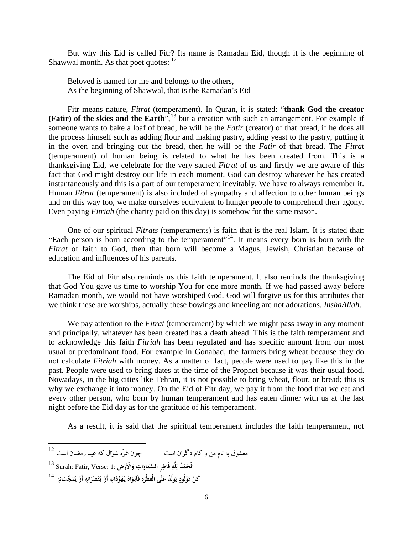But why this Eid is called Fitr? Its name is Ramadan Eid, though it is the beginning of Shawwal month. As that poet quotes:  $12$ 

Beloved is named for me and belongs to the others, As the beginning of Shawwal, that is the Ramadan's Eid

Fitr means nature, *Fitrat* (temperament). In Quran, it is stated: "**thank God the creator (Fatir)** of the skies and the Earth<sup>", 13</sup> but a creation with such an arrangement. For example if someone wants to bake a loaf of bread, he will be the *Fatir* (creator) of that bread, if he does all the process himself such as adding flour and making pastry, adding yeast to the pastry, putting it in the oven and bringing out the bread, then he will be the *Fatir* of that bread. The *Fitra*t (temperament) of human being is related to what he has been created from. This is a thanksgiving Eid, we celebrate for the very sacred *Fitrat* of us and firstly we are aware of this fact that God might destroy our life in each moment. God can destroy whatever he has created instantaneously and this is a part of our temperament inevitably. We have to always remember it. Human *Fitrat* (temperament) is also included of sympathy and affection to other human beings and on this way too, we make ourselves equivalent to hunger people to comprehend their agony. Even paying *Fitriah* (the charity paid on this day) is somehow for the same reason.

One of our spiritual *Fitrats* (temperaments) is faith that is the real Islam. It is stated that: "Each person is born according to the temperament"[14.](#page-5-1) It means every born is born with the *Fitrat* of faith to God, then that born will become a Magus, Jewish, Christian because of education and influences of his parents.

The Eid of Fitr also reminds us this faith temperament. It also reminds the thanksgiving that God You gave us time to worship You for one more month. If we had passed away before Ramadan month, we would not have worshiped God. God will forgive us for this attributes that we think these are worships, actually these bowings and kneeling are not adorations. *InshaAllah*.

We pay attention to the *Fitrat* (temperament) by which we might pass away in any moment and principally, whatever has been created has a death ahead. This is the faith temperament and to acknowledge this faith *Fitriah* has been regulated and has specific amount from our most usual or predominant food. For example in Gonabad, the farmers bring wheat because they do not calculate *Fitriah* with money. As a matter of fact, people were used to pay like this in the past. People were used to bring dates at the time of the Prophet because it was their usual food. Nowadays, in the big cities like Tehran, it is not possible to bring wheat, flour, or bread; this is why we exchange it into money. On the Eid of Fitr day, we pay it from the food that we eat and every other person, who born by human temperament and has eaten dinner with us at the last night before the Eid day as for the gratitude of his temperament.

As a result, it is said that the spiritual temperament includes the faith temperament, not

l

<span id="page-5-0"></span> $^{12}$  معشوق به نام من و کام دگران است  $\,$  چون غرّه شوّال که عید رمضان است

الْحَمْدُ لِلَّهِ فَاطِرِ السَّمَاوَاتِ وَالْأَرْضِ :1 :Surah: Fatir, Verse<br>... **ِ**

<span id="page-5-1"></span>كُلُّ مَوْلُودٍ يُولَدُ عَلَى الْفِطْرَةِ فَأَبَوَاهُ يُهَوِّدَانِهِ أَوْ يُنَصِّرَانِهِ أَوْ يُمَجِّسَانِهِ  $^{14}$ **ِ َ ْ**